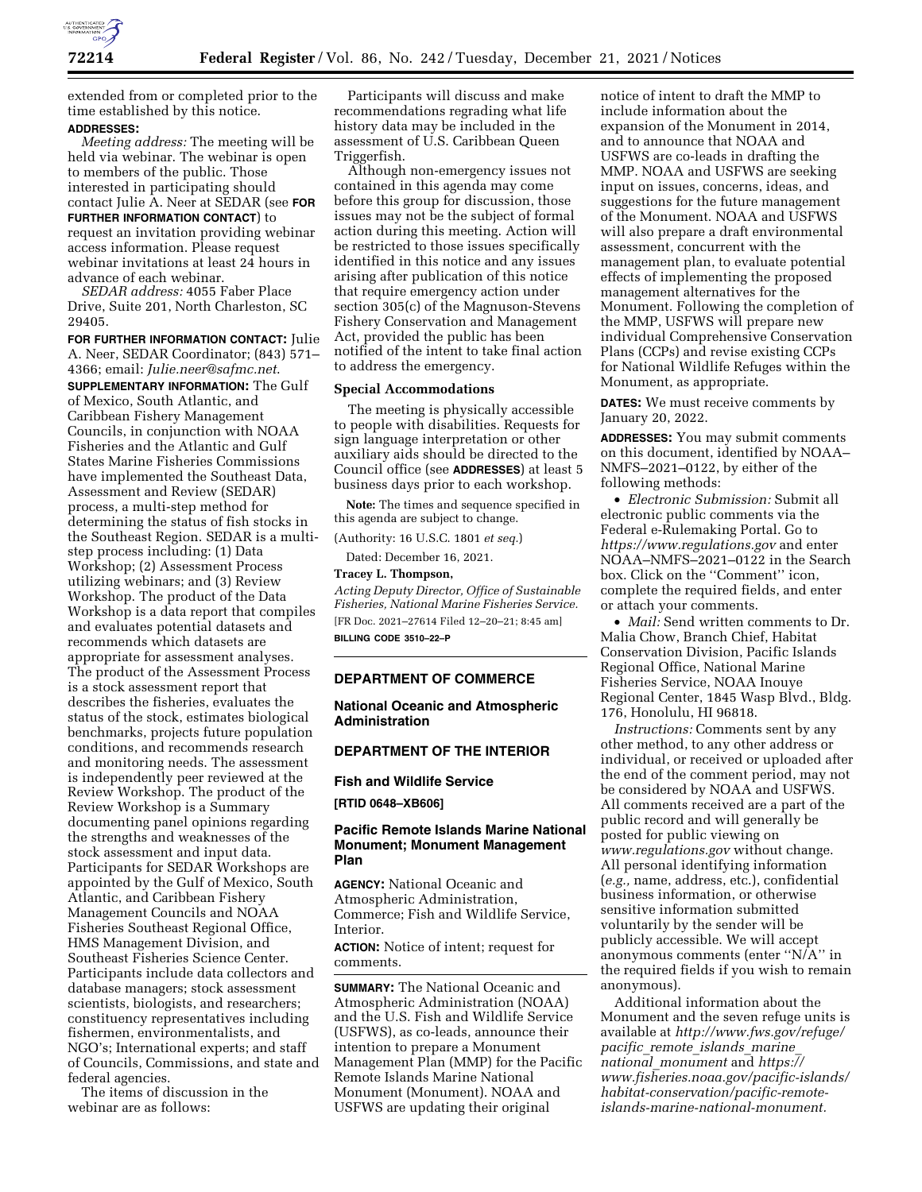

extended from or completed prior to the time established by this notice. **ADDRESSES:** 

*Meeting address:* The meeting will be held via webinar. The webinar is open to members of the public. Those interested in participating should contact Julie A. Neer at SEDAR (see **FOR FURTHER INFORMATION CONTACT**) to request an invitation providing webinar access information. Please request webinar invitations at least 24 hours in advance of each webinar.

*SEDAR address:* 4055 Faber Place Drive, Suite 201, North Charleston, SC 29405.

**FOR FURTHER INFORMATION CONTACT:** Julie A. Neer, SEDAR Coordinator; (843) 571– 4366; email: *[Julie.neer@safmc.net](mailto:Julie.neer@safmc.net)*. **SUPPLEMENTARY INFORMATION:** The Gulf of Mexico, South Atlantic, and Caribbean Fishery Management Councils, in conjunction with NOAA Fisheries and the Atlantic and Gulf States Marine Fisheries Commissions have implemented the Southeast Data, Assessment and Review (SEDAR) process, a multi-step method for determining the status of fish stocks in the Southeast Region. SEDAR is a multistep process including: (1) Data Workshop; (2) Assessment Process utilizing webinars; and (3) Review Workshop. The product of the Data Workshop is a data report that compiles and evaluates potential datasets and recommends which datasets are appropriate for assessment analyses. The product of the Assessment Process is a stock assessment report that describes the fisheries, evaluates the status of the stock, estimates biological benchmarks, projects future population conditions, and recommends research and monitoring needs. The assessment is independently peer reviewed at the Review Workshop. The product of the Review Workshop is a Summary documenting panel opinions regarding the strengths and weaknesses of the stock assessment and input data. Participants for SEDAR Workshops are appointed by the Gulf of Mexico, South Atlantic, and Caribbean Fishery Management Councils and NOAA Fisheries Southeast Regional Office, HMS Management Division, and Southeast Fisheries Science Center. Participants include data collectors and database managers; stock assessment scientists, biologists, and researchers; constituency representatives including fishermen, environmentalists, and NGO's; International experts; and staff of Councils, Commissions, and state and federal agencies.

The items of discussion in the webinar are as follows:

Participants will discuss and make recommendations regrading what life history data may be included in the assessment of U.S. Caribbean Queen Triggerfish.

Although non-emergency issues not contained in this agenda may come before this group for discussion, those issues may not be the subject of formal action during this meeting. Action will be restricted to those issues specifically identified in this notice and any issues arising after publication of this notice that require emergency action under section 305(c) of the Magnuson-Stevens Fishery Conservation and Management Act, provided the public has been notified of the intent to take final action to address the emergency.

#### **Special Accommodations**

The meeting is physically accessible to people with disabilities. Requests for sign language interpretation or other auxiliary aids should be directed to the Council office (see **ADDRESSES**) at least 5 business days prior to each workshop.

**Note:** The times and sequence specified in this agenda are subject to change.

(Authority: 16 U.S.C. 1801 *et seq.*)

Dated: December 16, 2021.

# **Tracey L. Thompson,**

*Acting Deputy Director, Office of Sustainable Fisheries, National Marine Fisheries Service.*  [FR Doc. 2021–27614 Filed 12–20–21; 8:45 am] **BILLING CODE 3510–22–P** 

## **DEPARTMENT OF COMMERCE**

**National Oceanic and Atmospheric Administration** 

# **DEPARTMENT OF THE INTERIOR**

**Fish and Wildlife Service** 

# **[RTID 0648–XB606]**

# **Pacific Remote Islands Marine National Monument; Monument Management Plan**

**AGENCY:** National Oceanic and Atmospheric Administration, Commerce; Fish and Wildlife Service, Interior.

**ACTION:** Notice of intent; request for comments.

**SUMMARY:** The National Oceanic and Atmospheric Administration (NOAA) and the U.S. Fish and Wildlife Service (USFWS), as co-leads, announce their intention to prepare a Monument Management Plan (MMP) for the Pacific Remote Islands Marine National Monument (Monument). NOAA and USFWS are updating their original

notice of intent to draft the MMP to include information about the expansion of the Monument in 2014, and to announce that NOAA and USFWS are co-leads in drafting the MMP. NOAA and USFWS are seeking input on issues, concerns, ideas, and suggestions for the future management of the Monument. NOAA and USFWS will also prepare a draft environmental assessment, concurrent with the management plan, to evaluate potential effects of implementing the proposed management alternatives for the Monument. Following the completion of the MMP, USFWS will prepare new individual Comprehensive Conservation Plans (CCPs) and revise existing CCPs for National Wildlife Refuges within the Monument, as appropriate.

**DATES:** We must receive comments by January 20, 2022.

**ADDRESSES:** You may submit comments on this document, identified by NOAA– NMFS–2021–0122, by either of the following methods:

• *Electronic Submission:* Submit all electronic public comments via the Federal e-Rulemaking Portal. Go to *<https://www.regulations.gov>* and enter NOAA–NMFS–2021–0122 in the Search box. Click on the ''Comment'' icon, complete the required fields, and enter or attach your comments.

• *Mail:* Send written comments to Dr. Malia Chow, Branch Chief, Habitat Conservation Division, Pacific Islands Regional Office, National Marine Fisheries Service, NOAA Inouye Regional Center, 1845 Wasp Blvd., Bldg. 176, Honolulu, HI 96818.

*Instructions:* Comments sent by any other method, to any other address or individual, or received or uploaded after the end of the comment period, may not be considered by NOAA and USFWS. All comments received are a part of the public record and will generally be posted for public viewing on *[www.regulations.gov](http://www.regulations.gov)* without change. All personal identifying information (*e.g.,* name, address, etc.), confidential business information, or otherwise sensitive information submitted voluntarily by the sender will be publicly accessible. We will accept anonymous comments (enter ''N/A'' in the required fields if you wish to remain anonymous).

Additional information about the Monument and the seven refuge units is available at *[http://www.fws.gov/refuge/](http://www.fws.gov/refuge/pacific_remote_islands_marine_national_monument)  pacific*\_*remote*\_*[islands](http://www.fws.gov/refuge/pacific_remote_islands_marine_national_monument)*\_*marine*\_ *national*\_*[monument](http://www.fws.gov/refuge/pacific_remote_islands_marine_national_monument)* and *[https://](https://www.fisheries.noaa.gov/pacific-islands/habitat-conservation/pacific-remote-islands-marine-national-monument) [www.fisheries.noaa.gov/pacific-islands/](https://www.fisheries.noaa.gov/pacific-islands/habitat-conservation/pacific-remote-islands-marine-national-monument) [habitat-conservation/pacific-remote](https://www.fisheries.noaa.gov/pacific-islands/habitat-conservation/pacific-remote-islands-marine-national-monument)[islands-marine-national-monument.](https://www.fisheries.noaa.gov/pacific-islands/habitat-conservation/pacific-remote-islands-marine-national-monument)*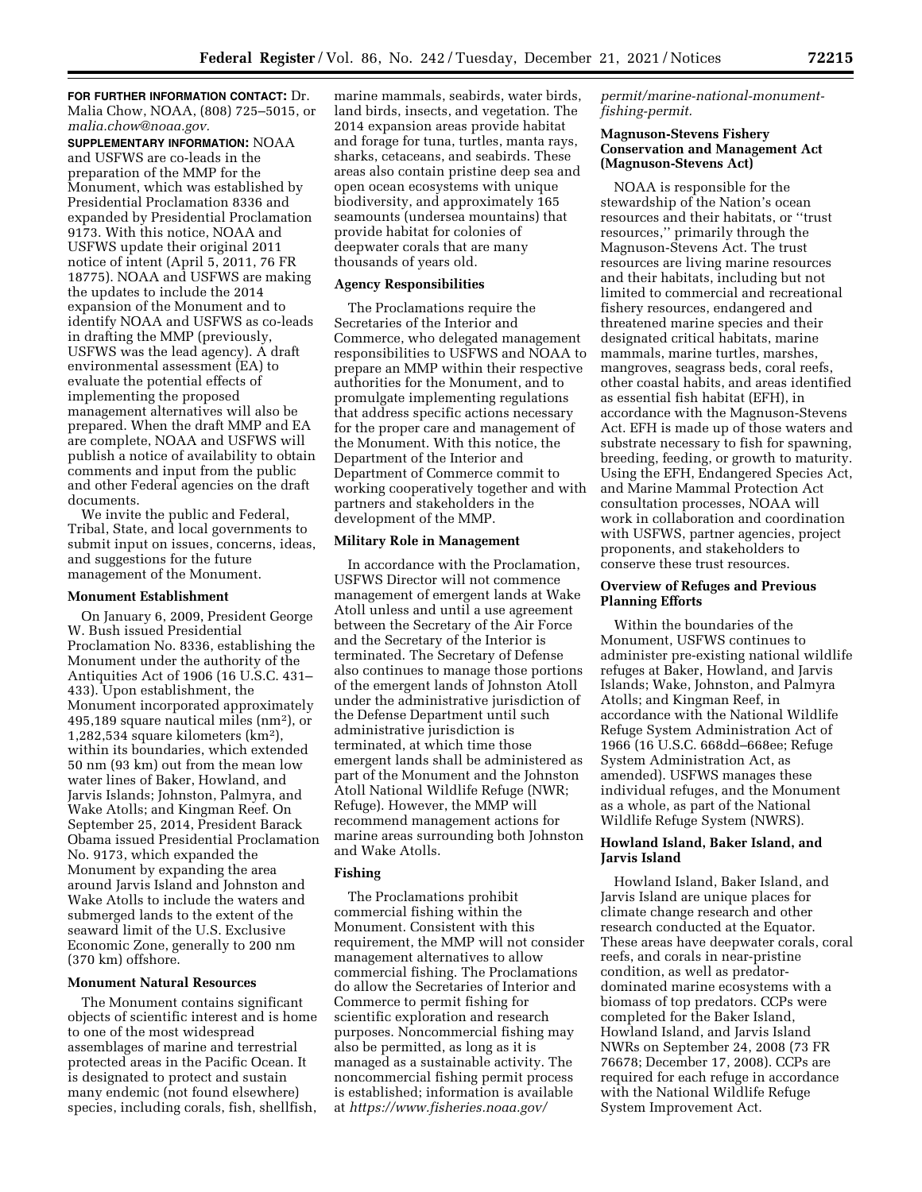**FOR FURTHER INFORMATION CONTACT:** Dr. Malia Chow, NOAA, (808) 725–5015, or *[malia.chow@noaa.gov.](mailto:malia.chow@noaa.gov)* 

**SUPPLEMENTARY INFORMATION:** NOAA and USFWS are co-leads in the preparation of the MMP for the Monument, which was established by Presidential Proclamation 8336 and expanded by Presidential Proclamation 9173. With this notice, NOAA and USFWS update their original 2011 notice of intent (April 5, 2011, 76 FR 18775). NOAA and USFWS are making the updates to include the 2014 expansion of the Monument and to identify NOAA and USFWS as co-leads in drafting the MMP (previously, USFWS was the lead agency). A draft environmental assessment (EA) to evaluate the potential effects of implementing the proposed management alternatives will also be prepared. When the draft MMP and EA are complete, NOAA and USFWS will publish a notice of availability to obtain comments and input from the public and other Federal agencies on the draft documents.

We invite the public and Federal, Tribal, State, and local governments to submit input on issues, concerns, ideas, and suggestions for the future management of the Monument.

#### **Monument Establishment**

On January 6, 2009, President George W. Bush issued Presidential Proclamation No. 8336, establishing the Monument under the authority of the Antiquities Act of 1906 (16 U.S.C. 431– 433). Upon establishment, the Monument incorporated approximately 495,189 square nautical miles (nm2), or 1,282,534 square kilometers (km2), within its boundaries, which extended 50 nm (93 km) out from the mean low water lines of Baker, Howland, and Jarvis Islands; Johnston, Palmyra, and Wake Atolls; and Kingman Reef. On September 25, 2014, President Barack Obama issued Presidential Proclamation No. 9173, which expanded the Monument by expanding the area around Jarvis Island and Johnston and Wake Atolls to include the waters and submerged lands to the extent of the seaward limit of the U.S. Exclusive Economic Zone, generally to 200 nm (370 km) offshore.

### **Monument Natural Resources**

The Monument contains significant objects of scientific interest and is home to one of the most widespread assemblages of marine and terrestrial protected areas in the Pacific Ocean. It is designated to protect and sustain many endemic (not found elsewhere) species, including corals, fish, shellfish, marine mammals, seabirds, water birds, land birds, insects, and vegetation. The 2014 expansion areas provide habitat and forage for tuna, turtles, manta rays, sharks, cetaceans, and seabirds. These areas also contain pristine deep sea and open ocean ecosystems with unique biodiversity, and approximately 165 seamounts (undersea mountains) that provide habitat for colonies of deepwater corals that are many thousands of years old.

#### **Agency Responsibilities**

The Proclamations require the Secretaries of the Interior and Commerce, who delegated management responsibilities to USFWS and NOAA to prepare an MMP within their respective authorities for the Monument, and to promulgate implementing regulations that address specific actions necessary for the proper care and management of the Monument. With this notice, the Department of the Interior and Department of Commerce commit to working cooperatively together and with partners and stakeholders in the development of the MMP.

#### **Military Role in Management**

In accordance with the Proclamation, USFWS Director will not commence management of emergent lands at Wake Atoll unless and until a use agreement between the Secretary of the Air Force and the Secretary of the Interior is terminated. The Secretary of Defense also continues to manage those portions of the emergent lands of Johnston Atoll under the administrative jurisdiction of the Defense Department until such administrative jurisdiction is terminated, at which time those emergent lands shall be administered as part of the Monument and the Johnston Atoll National Wildlife Refuge (NWR; Refuge). However, the MMP will recommend management actions for marine areas surrounding both Johnston and Wake Atolls.

#### **Fishing**

The Proclamations prohibit commercial fishing within the Monument. Consistent with this requirement, the MMP will not consider management alternatives to allow commercial fishing. The Proclamations do allow the Secretaries of Interior and Commerce to permit fishing for scientific exploration and research purposes. Noncommercial fishing may also be permitted, as long as it is managed as a sustainable activity. The noncommercial fishing permit process is established; information is available at *[https://www.fisheries.noaa.gov/](https://www.fisheries.noaa.gov/permit/marine-national-monument-fishing-permit)* 

*[permit/marine-national-monument](https://www.fisheries.noaa.gov/permit/marine-national-monument-fishing-permit)[fishing-permit.](https://www.fisheries.noaa.gov/permit/marine-national-monument-fishing-permit)* 

## **Magnuson-Stevens Fishery Conservation and Management Act (Magnuson-Stevens Act)**

NOAA is responsible for the stewardship of the Nation's ocean resources and their habitats, or ''trust resources,'' primarily through the Magnuson-Stevens Act. The trust resources are living marine resources and their habitats, including but not limited to commercial and recreational fishery resources, endangered and threatened marine species and their designated critical habitats, marine mammals, marine turtles, marshes, mangroves, seagrass beds, coral reefs, other coastal habits, and areas identified as essential fish habitat (EFH), in accordance with the Magnuson-Stevens Act. EFH is made up of those waters and substrate necessary to fish for spawning, breeding, feeding, or growth to maturity. Using the EFH, Endangered Species Act, and Marine Mammal Protection Act consultation processes, NOAA will work in collaboration and coordination with USFWS, partner agencies, project proponents, and stakeholders to conserve these trust resources.

## **Overview of Refuges and Previous Planning Efforts**

Within the boundaries of the Monument, USFWS continues to administer pre-existing national wildlife refuges at Baker, Howland, and Jarvis Islands; Wake, Johnston, and Palmyra Atolls; and Kingman Reef, in accordance with the National Wildlife Refuge System Administration Act of 1966 (16 U.S.C. 668dd–668ee; Refuge System Administration Act, as amended). USFWS manages these individual refuges, and the Monument as a whole, as part of the National Wildlife Refuge System (NWRS).

## **Howland Island, Baker Island, and Jarvis Island**

Howland Island, Baker Island, and Jarvis Island are unique places for climate change research and other research conducted at the Equator. These areas have deepwater corals, coral reefs, and corals in near-pristine condition, as well as predatordominated marine ecosystems with a biomass of top predators. CCPs were completed for the Baker Island, Howland Island, and Jarvis Island NWRs on September 24, 2008 (73 FR 76678; December 17, 2008). CCPs are required for each refuge in accordance with the National Wildlife Refuge System Improvement Act.